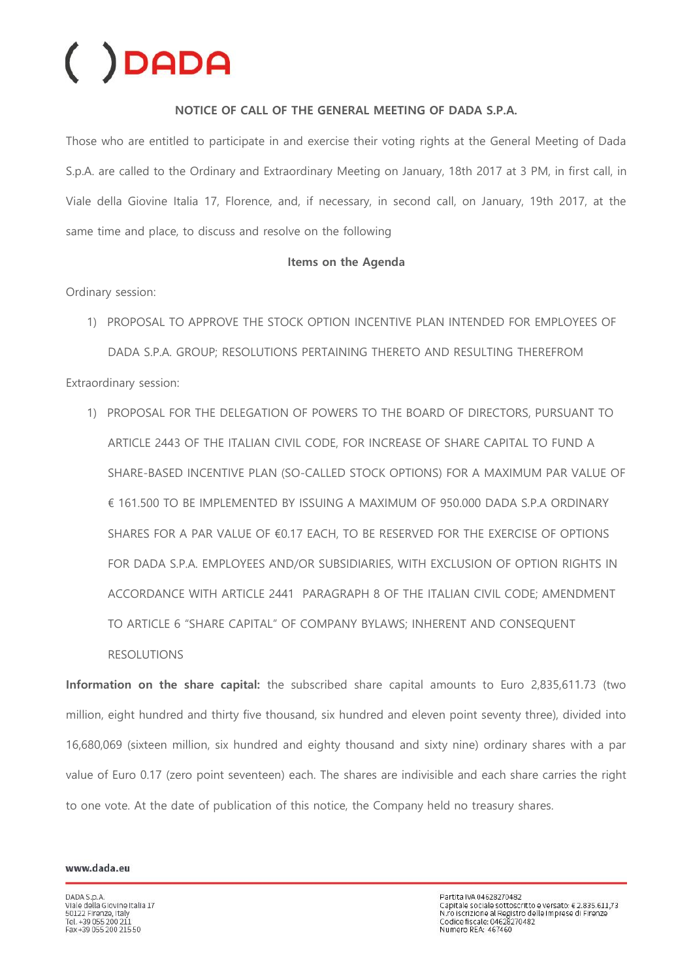### **NOTICE OF CALL OF THE GENERAL MEETING OF DADA S.P.A.**

Those who are entitled to participate in and exercise their voting rights at the General Meeting of Dada S.p.A. are called to the Ordinary and Extraordinary Meeting on January, 18th 2017 at 3 PM, in first call, in Viale della Giovine Italia 17, Florence, and, if necessary, in second call, on January, 19th 2017, at the same time and place, to discuss and resolve on the following

### **Items on the Agenda**

Ordinary session:

- 1) PROPOSAL TO APPROVE THE STOCK OPTION INCENTIVE PLAN INTENDED FOR EMPLOYEES OF DADA S.P.A. GROUP; RESOLUTIONS PERTAINING THERETO AND RESULTING THEREFROM Extraordinary session:
	- 1) PROPOSAL FOR THE DELEGATION OF POWERS TO THE BOARD OF DIRECTORS, PURSUANT TO ARTICLE 2443 OF THE ITALIAN CIVIL CODE, FOR INCREASE OF SHARE CAPITAL TO FUND A SHARE-BASED INCENTIVE PLAN (SO-CALLED STOCK OPTIONS) FOR A MAXIMUM PAR VALUE OF € 161.500 TO BE IMPLEMENTED BY ISSUING A MAXIMUM OF 950.000 DADA S.P.A ORDINARY SHARES FOR A PAR VALUE OF €0.17 EACH, TO BE RESERVED FOR THE EXERCISE OF OPTIONS FOR DADA S.P.A. EMPLOYEES AND/OR SUBSIDIARIES, WITH EXCLUSION OF OPTION RIGHTS IN ACCORDANCE WITH ARTICLE 2441 PARAGRAPH 8 OF THE ITALIAN CIVIL CODE; AMENDMENT TO ARTICLE 6 "SHARE CAPITAL" OF COMPANY BYLAWS; INHERENT AND CONSEQUENT RESOLUTIONS

**Information on the share capital:** the subscribed share capital amounts to Euro 2,835,611.73 (two million, eight hundred and thirty five thousand, six hundred and eleven point seventy three), divided into 16,680,069 (sixteen million, six hundred and eighty thousand and sixty nine) ordinary shares with a par value of Euro 0.17 (zero point seventeen) each. The shares are indivisible and each share carries the right to one vote. At the date of publication of this notice, the Company held no treasury shares.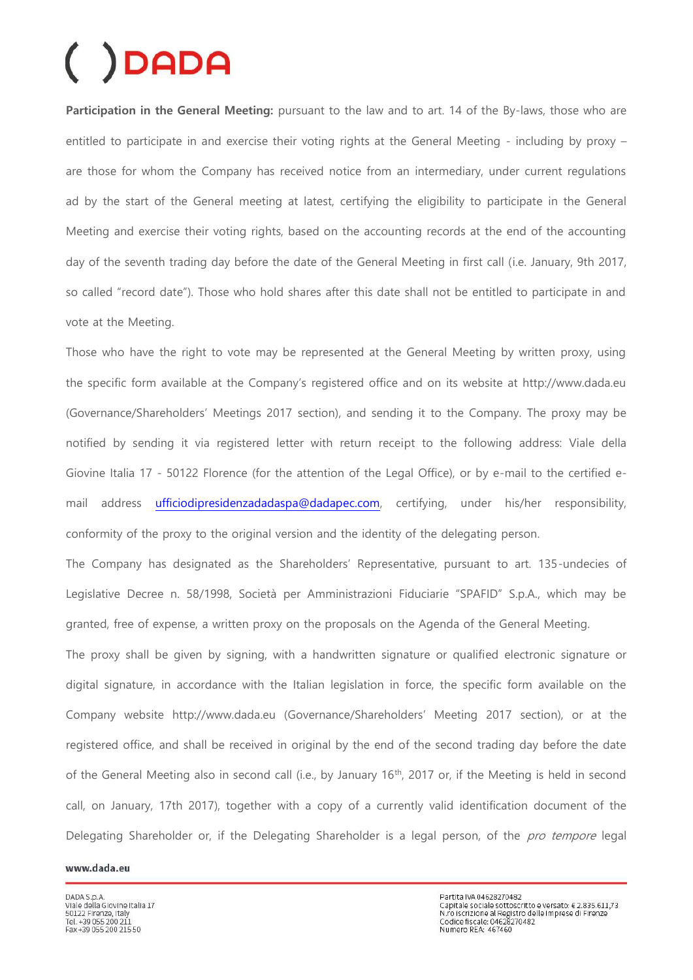Participation in the General Meeting: pursuant to the law and to art. 14 of the By-laws, those who are entitled to participate in and exercise their voting rights at the General Meeting - including by proxy – are those for whom the Company has received notice from an intermediary, under current regulations ad by the start of the General meeting at latest, certifying the eligibility to participate in the General Meeting and exercise their voting rights, based on the accounting records at the end of the accounting day of the seventh trading day before the date of the General Meeting in first call (i.e. January, 9th 2017, so called "record date"). Those who hold shares after this date shall not be entitled to participate in and vote at the Meeting.

Those who have the right to vote may be represented at the General Meeting by written proxy, using the specific form available at the Company's registered office and on its website at http://www.dada.eu (Governance/Shareholders' Meetings 2017 section), and sending it to the Company. The proxy may be notified by sending it via registered letter with return receipt to the following address: Viale della Giovine Italia 17 - 50122 Florence (for the attention of the Legal Office), or by e-mail to the certified email address [ufficiodipresidenzadadaspa@dadapec.com,](mailto:ufficiodipresidenzadadaspa@dadapec.com) certifying, under his/her responsibility, conformity of the proxy to the original version and the identity of the delegating person.

The Company has designated as the Shareholders' Representative, pursuant to art. 135-undecies of Legislative Decree n. 58/1998, Società per Amministrazioni Fiduciarie "SPAFID" S.p.A., which may be granted, free of expense, a written proxy on the proposals on the Agenda of the General Meeting.

The proxy shall be given by signing, with a handwritten signature or qualified electronic signature or digital signature, in accordance with the Italian legislation in force, the specific form available on the Company website http://www.dada.eu (Governance/Shareholders' Meeting 2017 section), or at the registered office, and shall be received in original by the end of the second trading day before the date of the General Meeting also in second call (i.e., by January 16<sup>th</sup>, 2017 or, if the Meeting is held in second call, on January, 17th 2017), together with a copy of a currently valid identification document of the Delegating Shareholder or, if the Delegating Shareholder is a legal person, of the *pro tempore* legal

#### www.dada.eu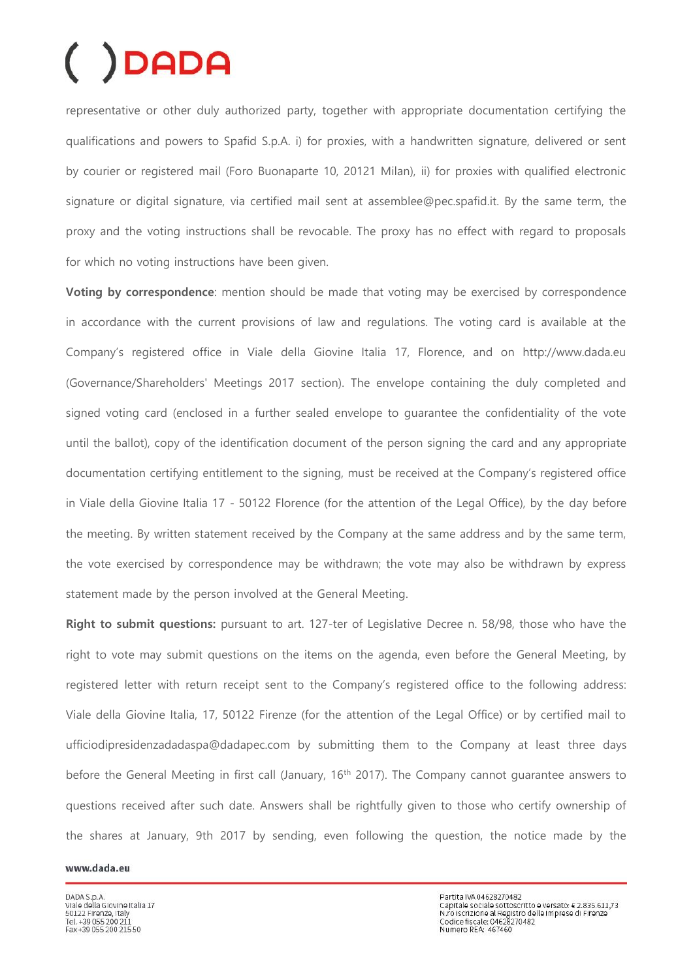representative or other duly authorized party, together with appropriate documentation certifying the qualifications and powers to Spafid S.p.A. i) for proxies, with a handwritten signature, delivered or sent by courier or registered mail (Foro Buonaparte 10, 20121 Milan), ii) for proxies with qualified electronic signature or digital signature, via certified mail sent at assemblee@pec.spafid.it. By the same term, the proxy and the voting instructions shall be revocable. The proxy has no effect with regard to proposals for which no voting instructions have been given.

**Voting by correspondence**: mention should be made that voting may be exercised by correspondence in accordance with the current provisions of law and regulations. The voting card is available at the Company's registered office in Viale della Giovine Italia 17, Florence, and on http://www.dada.eu (Governance/Shareholders' Meetings 2017 section). The envelope containing the duly completed and signed voting card (enclosed in a further sealed envelope to guarantee the confidentiality of the vote until the ballot), copy of the identification document of the person signing the card and any appropriate documentation certifying entitlement to the signing, must be received at the Company's registered office in Viale della Giovine Italia 17 - 50122 Florence (for the attention of the Legal Office), by the day before the meeting. By written statement received by the Company at the same address and by the same term, the vote exercised by correspondence may be withdrawn; the vote may also be withdrawn by express statement made by the person involved at the General Meeting.

**Right to submit questions:** pursuant to art. 127-ter of Legislative Decree n. 58/98, those who have the right to vote may submit questions on the items on the agenda, even before the General Meeting, by registered letter with return receipt sent to the Company's registered office to the following address: Viale della Giovine Italia, 17, 50122 Firenze (for the attention of the Legal Office) or by certified mail to ufficiodipresidenzadadaspa@dadapec.com by submitting them to the Company at least three days before the General Meeting in first call (January, 16<sup>th</sup> 2017). The Company cannot quarantee answers to questions received after such date. Answers shall be rightfully given to those who certify ownership of the shares at January, 9th 2017 by sending, even following the question, the notice made by the

#### www.dada.eu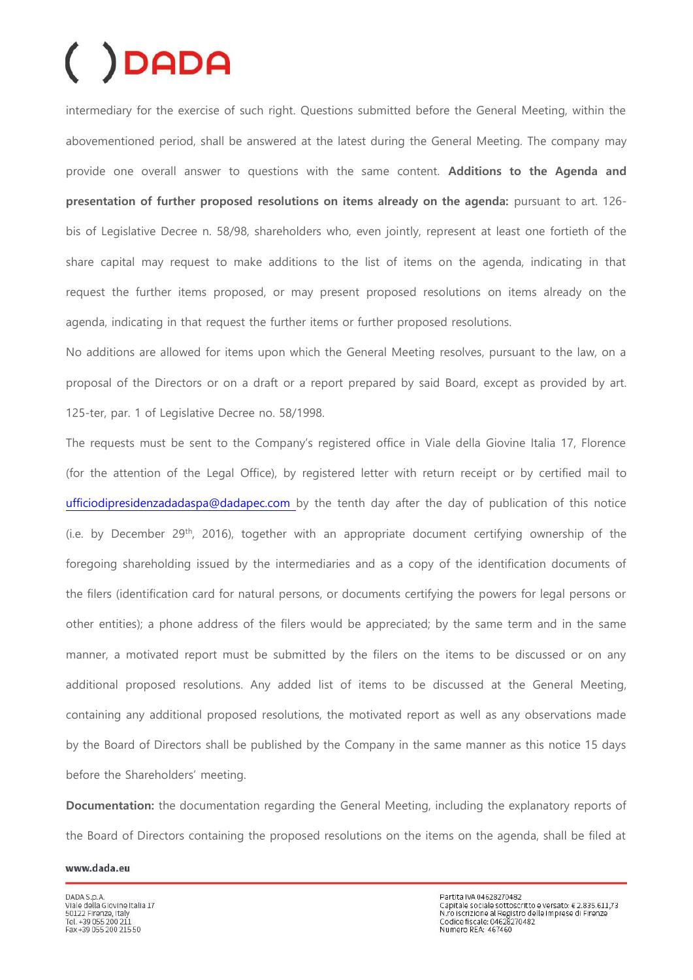intermediary for the exercise of such right. Questions submitted before the General Meeting, within the abovementioned period, shall be answered at the latest during the General Meeting. The company may provide one overall answer to questions with the same content. **Additions to the Agenda and presentation of further proposed resolutions on items already on the agenda:** pursuant to art. 126 bis of Legislative Decree n. 58/98, shareholders who, even jointly, represent at least one fortieth of the share capital may request to make additions to the list of items on the agenda, indicating in that request the further items proposed, or may present proposed resolutions on items already on the agenda, indicating in that request the further items or further proposed resolutions.

No additions are allowed for items upon which the General Meeting resolves, pursuant to the law, on a proposal of the Directors or on a draft or a report prepared by said Board, except as provided by art. 125-ter, par. 1 of Legislative Decree no. 58/1998.

The requests must be sent to the Company's registered office in Viale della Giovine Italia 17, Florence (for the attention of the Legal Office), by registered letter with return receipt or by certified mail to [ufficiodipresidenzadadaspa@dadapec.com b](mailto:ufficiodipresidenzadadaspa@dadapec.com)y the tenth day after the day of publication of this notice (i.e. by December 29<sup>th</sup>, 2016), together with an appropriate document certifying ownership of the foregoing shareholding issued by the intermediaries and as a copy of the identification documents of the filers (identification card for natural persons, or documents certifying the powers for legal persons or other entities); a phone address of the filers would be appreciated; by the same term and in the same manner, a motivated report must be submitted by the filers on the items to be discussed or on any additional proposed resolutions. Any added list of items to be discussed at the General Meeting, containing any additional proposed resolutions, the motivated report as well as any observations made by the Board of Directors shall be published by the Company in the same manner as this notice 15 days before the Shareholders' meeting.

**Documentation:** the documentation regarding the General Meeting, including the explanatory reports of the Board of Directors containing the proposed resolutions on the items on the agenda, shall be filed at

#### www.dada.eu